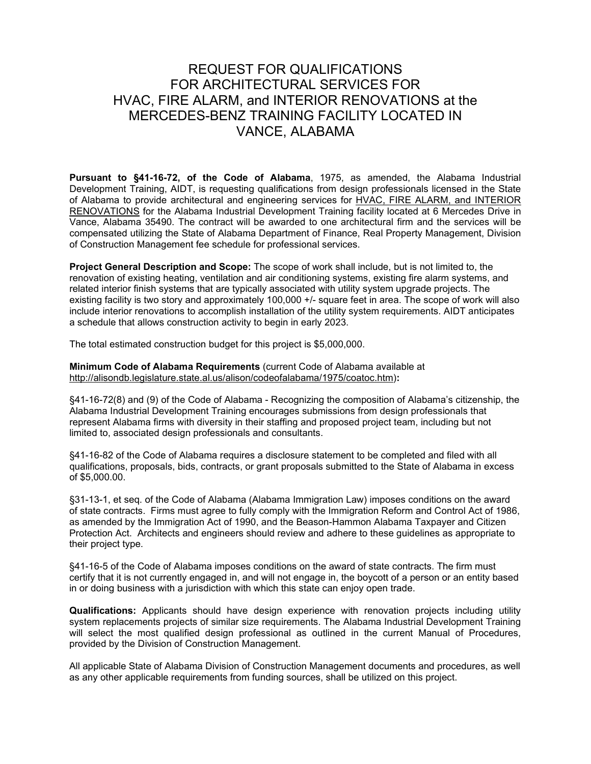## REQUEST FOR QUALIFICATIONS FOR ARCHITECTURAL SERVICES FOR HVAC, FIRE ALARM, and INTERIOR RENOVATIONS at the MERCEDES-BENZ TRAINING FACILITY LOCATED IN VANCE, ALABAMA

**Pursuant to §41-16-72, of the Code of Alabama**, 1975, as amended, the Alabama Industrial Development Training, AIDT, is requesting qualifications from design professionals licensed in the State of Alabama to provide architectural and engineering services for HVAC, FIRE ALARM, and INTERIOR RENOVATIONS for the Alabama Industrial Development Training facility located at 6 Mercedes Drive in Vance, Alabama 35490. The contract will be awarded to one architectural firm and the services will be compensated utilizing the State of Alabama Department of Finance, Real Property Management, Division of Construction Management fee schedule for professional services.

**Project General Description and Scope:** The scope of work shall include, but is not limited to, the renovation of existing heating, ventilation and air conditioning systems, existing fire alarm systems, and related interior finish systems that are typically associated with utility system upgrade projects. The existing facility is two story and approximately 100,000 +/- square feet in area. The scope of work will also include interior renovations to accomplish installation of the utility system requirements. AIDT anticipates a schedule that allows construction activity to begin in early 2023.

The total estimated construction budget for this project is \$5,000,000.

**Minimum Code of Alabama Requirements** (current Code of Alabama available at [http://alisondb.legislature.state.al.us/alison/codeofalabama/1975/coatoc.htm\)](http://alisondb.legislature.state.al.us/alison/codeofalabama/1975/coatoc.htm)**:**

§41-16-72(8) and (9) of the Code of Alabama - Recognizing the composition of Alabama's citizenship, the Alabama Industrial Development Training encourages submissions from design professionals that represent Alabama firms with diversity in their staffing and proposed project team, including but not limited to, associated design professionals and consultants.

§41-16-82 of the Code of Alabama requires a disclosure statement to be completed and filed with all qualifications, proposals, bids, contracts, or grant proposals submitted to the State of Alabama in excess of \$5,000.00.

§31-13-1, et seq. of the Code of Alabama (Alabama Immigration Law) imposes conditions on the award of state contracts. Firms must agree to fully comply with the Immigration Reform and Control Act of 1986, as amended by the Immigration Act of 1990, and the Beason-Hammon Alabama Taxpayer and Citizen Protection Act. Architects and engineers should review and adhere to these guidelines as appropriate to their project type.

§41-16-5 of the Code of Alabama imposes conditions on the award of state contracts. The firm must certify that it is not currently engaged in, and will not engage in, the boycott of a person or an entity based in or doing business with a jurisdiction with which this state can enjoy open trade.

**Qualifications:** Applicants should have design experience with renovation projects including utility system replacements projects of similar size requirements. The Alabama Industrial Development Training will select the most qualified design professional as outlined in the current Manual of Procedures, provided by the Division of Construction Management.

All applicable State of Alabama Division of Construction Management documents and procedures, as well as any other applicable requirements from funding sources, shall be utilized on this project.